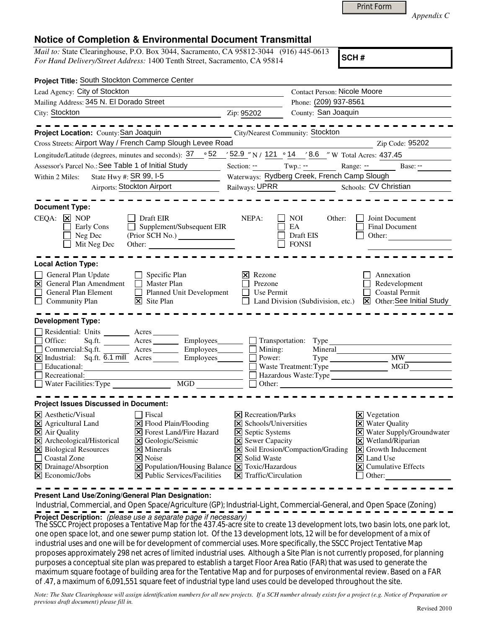|  | Print Form |
|--|------------|
|  |            |

*Appendix C* 

## **Notice of Completion & Environmental Document Transmittal**

*Mail to:* State Clearinghouse, P.O. Box 3044, Sacramento, CA 95812-3044 (916) 445-0613 *For Hand Delivery/Street Address:* 1400 Tenth Street, Sacramento, CA 95814

**SCH #**

| Project Title: South Stockton Commerce Center                                                                                                                                                                                                                                                                                                                                                                                                                                                         |                                                                                                                                                                             |                                                                                                           |                                                                                                                                                                                                                                                   |
|-------------------------------------------------------------------------------------------------------------------------------------------------------------------------------------------------------------------------------------------------------------------------------------------------------------------------------------------------------------------------------------------------------------------------------------------------------------------------------------------------------|-----------------------------------------------------------------------------------------------------------------------------------------------------------------------------|-----------------------------------------------------------------------------------------------------------|---------------------------------------------------------------------------------------------------------------------------------------------------------------------------------------------------------------------------------------------------|
| Lead Agency: City of Stockton                                                                                                                                                                                                                                                                                                                                                                                                                                                                         | <b>Contact Person: Nicole Moore</b>                                                                                                                                         |                                                                                                           |                                                                                                                                                                                                                                                   |
| Mailing Address: 345 N. El Dorado Street                                                                                                                                                                                                                                                                                                                                                                                                                                                              |                                                                                                                                                                             | Phone: (209) 937-8561                                                                                     |                                                                                                                                                                                                                                                   |
| City: Stockton                                                                                                                                                                                                                                                                                                                                                                                                                                                                                        | Zip: 95202                                                                                                                                                                  | County: San Joaquin                                                                                       |                                                                                                                                                                                                                                                   |
| Project Location: County: San Joaquin                                                                                                                                                                                                                                                                                                                                                                                                                                                                 |                                                                                                                                                                             | City/Nearest Community: Stockton                                                                          |                                                                                                                                                                                                                                                   |
| Cross Streets: Airport Way / French Camp Slough Levee Road                                                                                                                                                                                                                                                                                                                                                                                                                                            |                                                                                                                                                                             |                                                                                                           | Zip Code: 95202                                                                                                                                                                                                                                   |
| Longitude/Latitude (degrees, minutes and seconds): 37 ° 52                                                                                                                                                                                                                                                                                                                                                                                                                                            |                                                                                                                                                                             | $\frac{32.9}{121}$ N / $\frac{121}{121}$ $\circ$ $\frac{14}{121}$ $\frac{8.6}{121}$ W Total Acres: 437.45 |                                                                                                                                                                                                                                                   |
| Assessor's Parcel No.: See Table 1 of Initial Study                                                                                                                                                                                                                                                                                                                                                                                                                                                   | Section: $--$ Twp.: $--$                                                                                                                                                    |                                                                                                           | Range: -- Base: --                                                                                                                                                                                                                                |
| State Hwy #: SR 99, I-5<br>$\overline{\phantom{a}}$<br>Within 2 Miles:                                                                                                                                                                                                                                                                                                                                                                                                                                | Waterways: Rydberg Creek, French Camp Slough                                                                                                                                |                                                                                                           |                                                                                                                                                                                                                                                   |
| <b>Airports: Stockton Airport</b>                                                                                                                                                                                                                                                                                                                                                                                                                                                                     |                                                                                                                                                                             | Railways: UPRR Schools: CV Christian                                                                      |                                                                                                                                                                                                                                                   |
| <b>Document Type:</b>                                                                                                                                                                                                                                                                                                                                                                                                                                                                                 |                                                                                                                                                                             |                                                                                                           |                                                                                                                                                                                                                                                   |
| $\Box$ Draft EIR<br>CEQA:<br>$\overline{\mathsf{x}}$ NOP<br>Supplement/Subsequent EIR<br>Early Cons<br>Neg Dec<br>Mit Neg Dec<br>Other:                                                                                                                                                                                                                                                                                                                                                               | NEPA:                                                                                                                                                                       | NOI —<br>Other:<br>EA<br>Draft EIS<br><b>FONSI</b>                                                        | Joint Document<br><b>Final Document</b><br>Other:                                                                                                                                                                                                 |
| <b>Local Action Type:</b>                                                                                                                                                                                                                                                                                                                                                                                                                                                                             |                                                                                                                                                                             |                                                                                                           |                                                                                                                                                                                                                                                   |
| General Plan Update<br>$\Box$ Specific Plan<br>$\overline{\mathsf{x}}$<br><b>General Plan Amendment</b><br>$\Box$ Master Plan<br>$\Box$<br>General Plan Element<br>Planned Unit Development<br>Community Plan<br>$\overline{\mathsf{x}}$ Site Plan                                                                                                                                                                                                                                                    | Rezone<br>Prezone<br>Use Permit                                                                                                                                             |                                                                                                           | Annexation<br>Redevelopment<br><b>Coastal Permit</b><br>Land Division (Subdivision, etc.) $\boxed{\times}$ Other: See Initial Study                                                                                                               |
| <b>Development Type:</b>                                                                                                                                                                                                                                                                                                                                                                                                                                                                              |                                                                                                                                                                             |                                                                                                           |                                                                                                                                                                                                                                                   |
| Residential: Units ________ Acres _______<br>Office:<br>Sq.ft. _________ Acres __________ Employees________<br>$\Box$ Commercial: Sq.ft.<br>Acres Employees<br>Educational:<br><u> 1989 - Johann Barn, mars eta bainar eta idazlea (</u><br>$\Box$ Recreational:                                                                                                                                                                                                                                      | $\Box$ Mining:<br>Power:                                                                                                                                                    | $\Box$ Transportation: Type<br>Mineral<br>Waste Treatment: Type<br>Hazardous Waste:Type<br>$\Box$ Other:  | <b>MW</b><br>MGD                                                                                                                                                                                                                                  |
|                                                                                                                                                                                                                                                                                                                                                                                                                                                                                                       |                                                                                                                                                                             |                                                                                                           |                                                                                                                                                                                                                                                   |
| <b>Project Issues Discussed in Document:</b>                                                                                                                                                                                                                                                                                                                                                                                                                                                          |                                                                                                                                                                             |                                                                                                           |                                                                                                                                                                                                                                                   |
| $ \mathsf{X} $ Aesthetic/Visual<br><b>Fiscal</b><br>X Agricultural Land<br>$\Xi$ Flood Plain/Flooding<br>$\Xi$ Air Quality<br><b>X</b> Forest Land/Fire Hazard<br>X Archeological/Historical<br>X Geologic/Seismic<br>X Biological Resources<br>$\times$ Minerals<br>□ Coastal Zone<br>$\vert \mathsf{x} \vert$ Noise<br>$\boxtimes$ Drainage/Absorption<br>X Population/Housing Balance X Toxic/Hazardous<br>$\overline{\mathsf{x}}$ Economic/Jobs<br>$ \mathbf{\nabla} $ Public Services/Facilities | $ \mathsf{X} $ Recreation/Parks<br>X Schools/Universities<br><b>X</b> Septic Systems<br><b>X</b> Sewer Capacity<br>X Solid Waste<br>$ \mathbf{\nabla} $ Traffic/Circulation | X Soil Erosion/Compaction/Grading                                                                         | $\boxtimes$ Vegetation<br>X Water Quality<br>X Water Supply/Groundwater<br>$\boxtimes$ Wetland/Riparian<br>$\boxed{\mathsf{X}}$ Growth Inducement<br>$\vert \mathsf{x} \vert$ Land Use<br>$ \mathbf{\nabla} $ Cumulative Effects<br>$\Box$ Other: |

**Present Land Use/Zoning/General Plan Designation:**

 Industrial, Commercial, and Open Space/Agriculture (GP); Industrial-Light, Commercial-General, and Open Space (Zoning) **Project Description:** (please use a separate page if necessary)

The SSCC Project proposes a Tentative Map for the 437.45-acre site to create 13 development lots, two basin lots, one park lot, one open space lot, and one sewer pump station lot. Of the 13 development lots, 12 will be for development of a mix of industrial uses and one will be for development of commercial uses. More specifically, the SSCC Project Tentative Map proposes approximately 298 net acres of limited industrial uses. Although a Site Plan is not currently proposed, for planning purposes a conceptual site plan was prepared to establish a target Floor Area Ratio (FAR) that was used to generate the maximum square footage of building area for the Tentative Map and for purposes of environmental review. Based on a FAR of .47, a maximum of 6,091,551 square feet of industrial type land uses could be developed throughout the site.

*Note: The State Clearinghouse will assign identification numbers for all new projects. If a SCH number already exists for a project (e.g. Notice of Preparation or previous draft document) please fill in.*